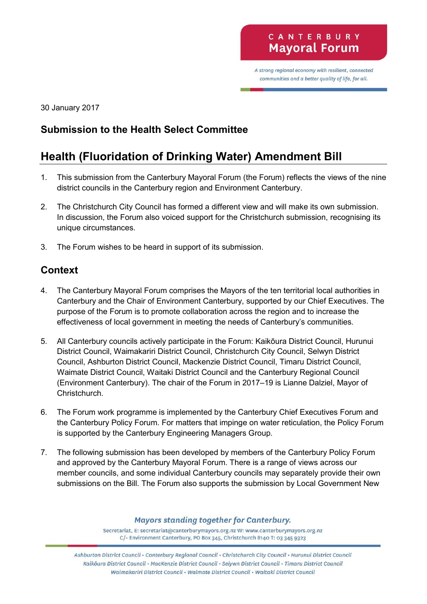A strong regional economy with resilient, connected communities and a better quality of life, for all.

30 January 2017

# **Submission to the Health Select Committee**

# **Health (Fluoridation of Drinking Water) Amendment Bill**

- 1. This submission from the Canterbury Mayoral Forum (the Forum) reflects the views of the nine district councils in the Canterbury region and Environment Canterbury.
- 2. The Christchurch City Council has formed a different view and will make its own submission. In discussion, the Forum also voiced support for the Christchurch submission, recognising its unique circumstances.
- 3. The Forum wishes to be heard in support of its submission.

# **Context**

- 4. The Canterbury Mayoral Forum comprises the Mayors of the ten territorial local authorities in Canterbury and the Chair of Environment Canterbury, supported by our Chief Executives. The purpose of the Forum is to promote collaboration across the region and to increase the effectiveness of local government in meeting the needs of Canterbury's communities.
- 5. All Canterbury councils actively participate in the Forum: Kaikōura District Council, Hurunui District Council, Waimakariri District Council, Christchurch City Council, Selwyn District Council, Ashburton District Council, Mackenzie District Council, Timaru District Council, Waimate District Council, Waitaki District Council and the Canterbury Regional Council (Environment Canterbury). The chair of the Forum in 2017–19 is Lianne Dalziel, Mayor of Christchurch.
- 6. The Forum work programme is implemented by the Canterbury Chief Executives Forum and the Canterbury Policy Forum. For matters that impinge on water reticulation, the Policy Forum is supported by the Canterbury Engineering Managers Group.
- 7. The following submission has been developed by members of the Canterbury Policy Forum and approved by the Canterbury Mayoral Forum. There is a range of views across our member councils, and some individual Canterbury councils may separately provide their own submissions on the Bill. The Forum also supports the submission by Local Government New

**Mayors standing together for Canterbury.** 

Secretariat, E: secretariat@canterburymayors.org.nz W: www.canterburymayors.org.nz C/- Environment Canterbury, PO Box 345, Christchurch 8140 T: 03 345 9323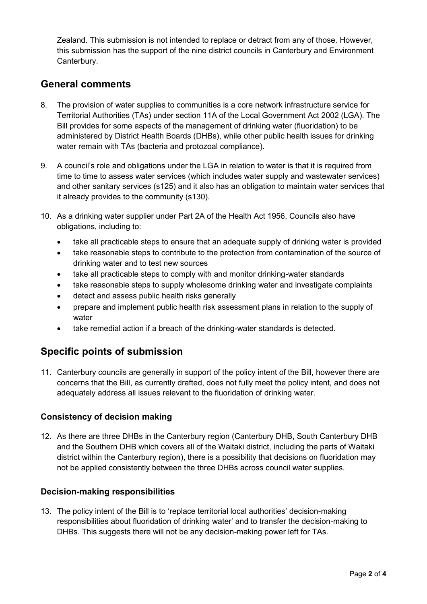Zealand. This submission is not intended to replace or detract from any of those. However, this submission has the support of the nine district councils in Canterbury and Environment Canterbury.

### **General comments**

- 8. The provision of water supplies to communities is a core network infrastructure service for Territorial Authorities (TAs) under section 11A of the Local Government Act 2002 (LGA). The Bill provides for some aspects of the management of drinking water (fluoridation) to be administered by District Health Boards (DHBs), while other public health issues for drinking water remain with TAs (bacteria and protozoal compliance).
- 9. A council's role and obligations under the LGA in relation to water is that it is required from time to time to assess water services (which includes water supply and wastewater services) and other sanitary services (s125) and it also has an obligation to maintain water services that it already provides to the community (s130).
- 10. As a drinking water supplier under Part 2A of the Health Act 1956, Councils also have obligations, including to:
	- take all practicable steps to ensure that an adequate supply of drinking water is provided
	- take reasonable steps to contribute to the protection from contamination of the source of drinking water and to test new sources
	- take all practicable steps to comply with and monitor drinking-water standards
	- take reasonable steps to supply wholesome drinking water and investigate complaints
	- detect and assess public health risks generally
	- prepare and implement public health risk assessment plans in relation to the supply of water
	- take remedial action if a breach of the drinking-water standards is detected.

## **Specific points of submission**

11. Canterbury councils are generally in support of the policy intent of the Bill, however there are concerns that the Bill, as currently drafted, does not fully meet the policy intent, and does not adequately address all issues relevant to the fluoridation of drinking water.

#### **Consistency of decision making**

12. As there are three DHBs in the Canterbury region (Canterbury DHB, South Canterbury DHB and the Southern DHB which covers all of the Waitaki district, including the parts of Waitaki district within the Canterbury region), there is a possibility that decisions on fluoridation may not be applied consistently between the three DHBs across council water supplies.

#### **Decision-making responsibilities**

13. The policy intent of the Bill is to 'replace territorial local authorities' decision-making responsibilities about fluoridation of drinking water' and to transfer the decision-making to DHBs. This suggests there will not be any decision-making power left for TAs.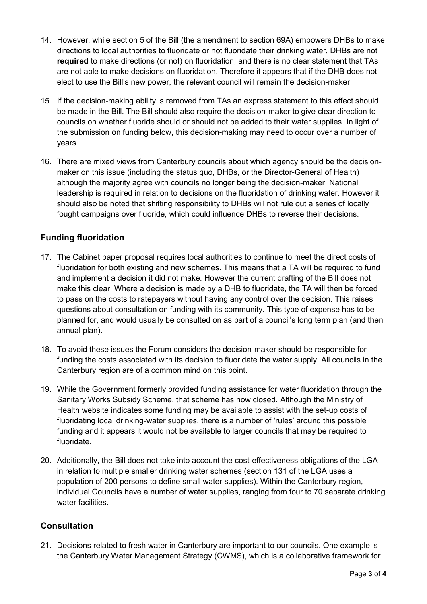- 14. However, while section 5 of the Bill (the amendment to section 69A) empowers DHBs to make directions to local authorities to fluoridate or not fluoridate their drinking water, DHBs are not **required** to make directions (or not) on fluoridation, and there is no clear statement that TAs are not able to make decisions on fluoridation. Therefore it appears that if the DHB does not elect to use the Bill's new power, the relevant council will remain the decision-maker.
- 15. If the decision-making ability is removed from TAs an express statement to this effect should be made in the Bill. The Bill should also require the decision-maker to give clear direction to councils on whether fluoride should or should not be added to their water supplies. In light of the submission on funding below, this decision-making may need to occur over a number of years.
- 16. There are mixed views from Canterbury councils about which agency should be the decisionmaker on this issue (including the status quo, DHBs, or the Director-General of Health) although the majority agree with councils no longer being the decision-maker. National leadership is required in relation to decisions on the fluoridation of drinking water. However it should also be noted that shifting responsibility to DHBs will not rule out a series of locally fought campaigns over fluoride, which could influence DHBs to reverse their decisions.

#### **Funding fluoridation**

- 17. The Cabinet paper proposal requires local authorities to continue to meet the direct costs of fluoridation for both existing and new schemes. This means that a TA will be required to fund and implement a decision it did not make. However the current drafting of the Bill does not make this clear. Where a decision is made by a DHB to fluoridate, the TA will then be forced to pass on the costs to ratepayers without having any control over the decision. This raises questions about consultation on funding with its community. This type of expense has to be planned for, and would usually be consulted on as part of a council's long term plan (and then annual plan).
- 18. To avoid these issues the Forum considers the decision-maker should be responsible for funding the costs associated with its decision to fluoridate the water supply. All councils in the Canterbury region are of a common mind on this point.
- 19. While the Government formerly provided funding assistance for water fluoridation through the Sanitary Works Subsidy Scheme, that scheme has now closed. Although the Ministry of Health website indicates some funding may be available to assist with the set-up costs of fluoridating local drinking-water supplies, there is a number of 'rules' around this possible funding and it appears it would not be available to larger councils that may be required to fluoridate.
- 20. Additionally, the Bill does not take into account the cost-effectiveness obligations of the LGA in relation to multiple smaller drinking water schemes (section 131 of the LGA uses a population of 200 persons to define small water supplies). Within the Canterbury region, individual Councils have a number of water supplies, ranging from four to 70 separate drinking water facilities.

#### **Consultation**

21. Decisions related to fresh water in Canterbury are important to our councils. One example is the Canterbury Water Management Strategy (CWMS), which is a collaborative framework for